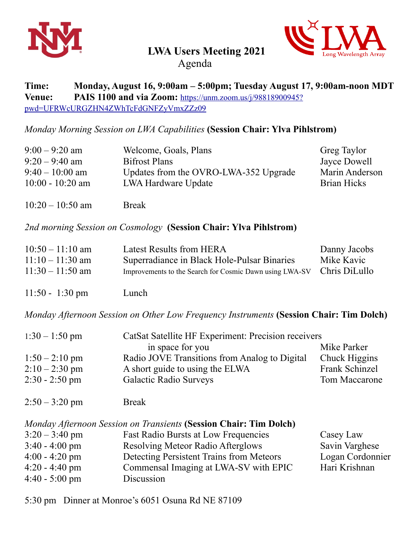



**LWA Users Meeting 2021** 

Agenda

## **Time: Monday, August 16, 9:00am – 5:00pm; Tuesday August 17, 9:00am-noon MDT Venue: PAIS 1100 and via Zoom:** [https://unm.zoom.us/j/98818900945?](https://unm.zoom.us/j/98818900945?pwd=UFRWcURGZHN4ZWhTcFdGNFZyVmxZZz09) [pwd=UFRWcURGZHN4ZWhTcFdGNFZyVmxZZz09](https://unm.zoom.us/j/98818900945?pwd=UFRWcURGZHN4ZWhTcFdGNFZyVmxZZz09)

*Monday Morning Session on LWA Capabilities* **(Session Chair: Ylva Pihlstrom)** 

| $9:00 - 9:20$ am   | Welcome, Goals, Plans                 | Greg Taylor    |
|--------------------|---------------------------------------|----------------|
| $9:20 - 9:40$ am   | <b>Bifrost Plans</b>                  | Jayce Dowell   |
| $9:40-10:00$ am    | Updates from the OVRO-LWA-352 Upgrade | Marin Anderson |
| $10:00 - 10:20$ am | LWA Hardware Update                   | Brian Hicks    |
|                    |                                       |                |

10:20 – 10:50 am Break

*2nd morning Session on Cosmology* **(Session Chair: Ylva Pihlstrom)**

| $10:50 - 11:10$ am | <b>Latest Results from HERA</b>                                       | Danny Jacobs |
|--------------------|-----------------------------------------------------------------------|--------------|
| $11:10 - 11:30$ am | Superradiance in Black Hole-Pulsar Binaries                           | Mike Kavic   |
| $11:30 - 11:50$ am | Improvements to the Search for Cosmic Dawn using LWA-SV Chris DiLullo |              |
|                    |                                                                       |              |

11:50 - 1:30 pm Lunch

*Monday Afternoon Session on Other Low Frequency Instruments (Session Chair: Tim Dolch)* 

| $1:30 - 1:50$ pm | CatSat Satellite HF Experiment: Precision receivers |                |  |
|------------------|-----------------------------------------------------|----------------|--|
|                  | in space for you                                    | Mike Parker    |  |
| $1:50 - 2:10$ pm | Radio JOVE Transitions from Analog to Digital       | Chuck Higgins  |  |
| $2:10-2:30$ pm   | A short guide to using the ELWA                     | Frank Schinzel |  |
| $2:30 - 2:50$ pm | <b>Galactic Radio Surveys</b>                       | Tom Maccarone  |  |
|                  |                                                     |                |  |

 $2:50 - 3:20 \text{ pm}$  Break

| Monday Afternoon Session on Transients (Session Chair: Tim Dolch) |                                             |                  |  |
|-------------------------------------------------------------------|---------------------------------------------|------------------|--|
| $3:20 - 3:40$ pm                                                  | <b>Fast Radio Bursts at Low Frequencies</b> | Casey Law        |  |
| $3:40 - 4:00 \text{ pm}$                                          | Resolving Meteor Radio Afterglows           | Savin Varghese   |  |
| $4:00 - 4:20$ pm                                                  | Detecting Persistent Trains from Meteors    | Logan Cordonnier |  |
| $4:20 - 4:40$ pm                                                  | Commensal Imaging at LWA-SV with EPIC       | Hari Krishnan    |  |
| $4:40 - 5:00 \text{ pm}$                                          | Discussion                                  |                  |  |

5:30 pm Dinner at Monroe's 6051 Osuna Rd NE 87109